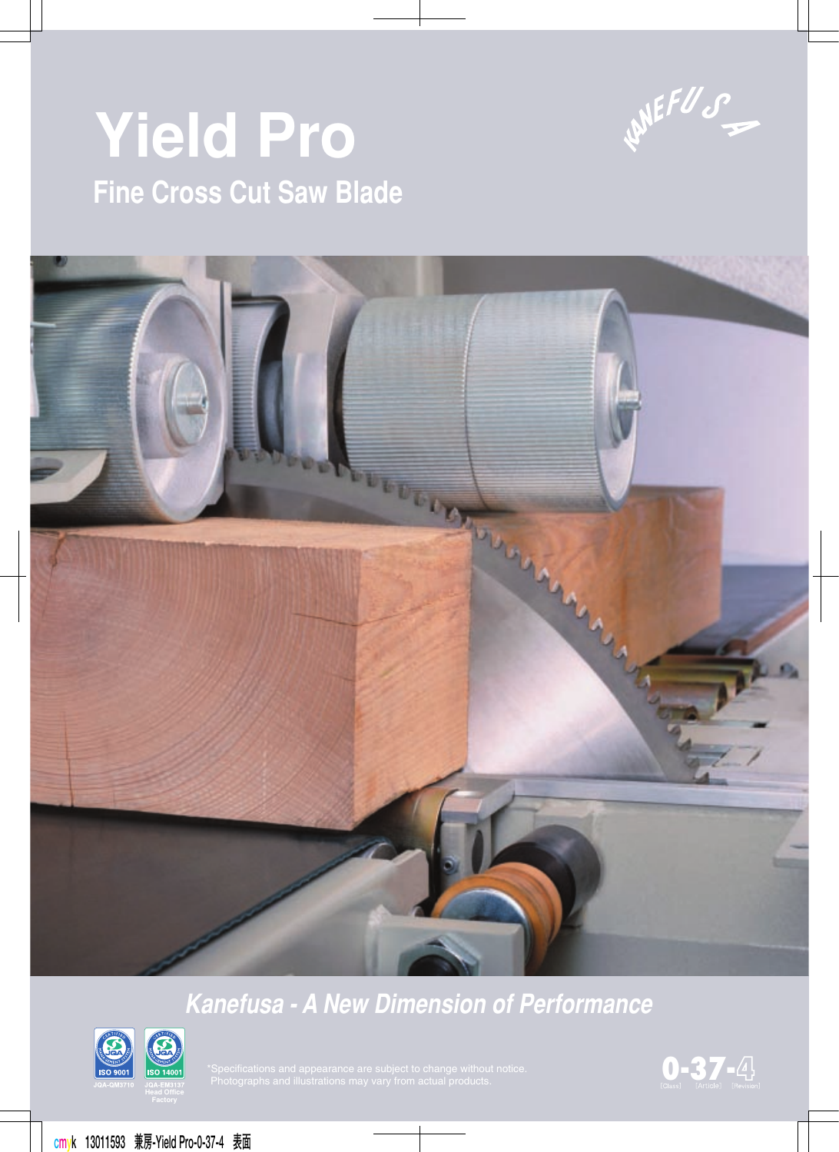# **Yield Pro Fine Cross Cut Saw Blade**





# **Kanefusa - A New Dimension of Performance**